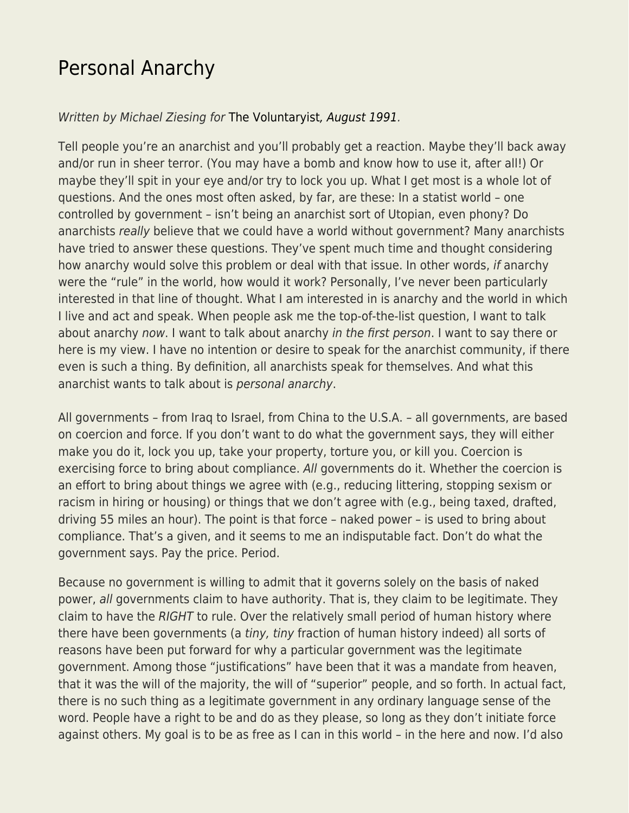## [Personal Anarchy](https://everything-voluntary.com/personal-anarchy)

Written by Michael Ziesing for [The Voluntaryist](http://voluntaryist.com/backissues/051.pdf)[, August 1991.](http://voluntaryist.com/backissues/051.pdf)

Tell people you're an anarchist and you'll probably get a reaction. Maybe they'll back away and/or run in sheer terror. (You may have a bomb and know how to use it, after all!) Or maybe they'll spit in your eye and/or try to lock you up. What I get most is a whole lot of questions. And the ones most often asked, by far, are these: In a statist world – one controlled by government – isn't being an anarchist sort of Utopian, even phony? Do anarchists really believe that we could have a world without government? Many anarchists have tried to answer these questions. They've spent much time and thought considering how anarchy would solve this problem or deal with that issue. In other words, if anarchy were the "rule" in the world, how would it work? Personally, I've never been particularly interested in that line of thought. What I am interested in is anarchy and the world in which I live and act and speak. When people ask me the top-of-the-list question, I want to talk about anarchy now. I want to talk about anarchy in the first person. I want to say there or here is my view. I have no intention or desire to speak for the anarchist community, if there even is such a thing. By definition, all anarchists speak for themselves. And what this anarchist wants to talk about is personal anarchy.

All governments – from Iraq to Israel, from China to the U.S.A. – all governments, are based on coercion and force. If you don't want to do what the government says, they will either make you do it, lock you up, take your property, torture you, or kill you. Coercion is exercising force to bring about compliance. All governments do it. Whether the coercion is an effort to bring about things we agree with (e.g., reducing littering, stopping sexism or racism in hiring or housing) or things that we don't agree with (e.g., being taxed, drafted, driving 55 miles an hour). The point is that force – naked power – is used to bring about compliance. That's a given, and it seems to me an indisputable fact. Don't do what the government says. Pay the price. Period.

Because no government is willing to admit that it governs solely on the basis of naked power, all governments claim to have authority. That is, they claim to be legitimate. They claim to have the RIGHT to rule. Over the relatively small period of human history where there have been governments (a tiny, tiny fraction of human history indeed) all sorts of reasons have been put forward for why a particular government was the legitimate government. Among those "justifications" have been that it was a mandate from heaven, that it was the will of the majority, the will of "superior" people, and so forth. In actual fact, there is no such thing as a legitimate government in any ordinary language sense of the word. People have a right to be and do as they please, so long as they don't initiate force against others. My goal is to be as free as I can in this world – in the here and now. I'd also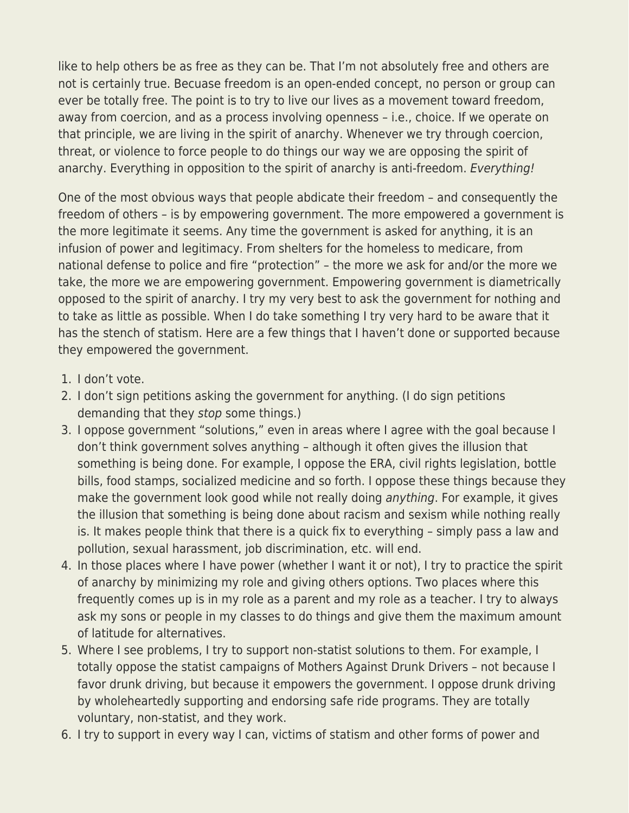like to help others be as free as they can be. That I'm not absolutely free and others are not is certainly true. Becuase freedom is an open-ended concept, no person or group can ever be totally free. The point is to try to live our lives as a movement toward freedom, away from coercion, and as a process involving openness – i.e., choice. If we operate on that principle, we are living in the spirit of anarchy. Whenever we try through coercion, threat, or violence to force people to do things our way we are opposing the spirit of anarchy. Everything in opposition to the spirit of anarchy is anti-freedom. Everything!

One of the most obvious ways that people abdicate their freedom – and consequently the freedom of others – is by empowering government. The more empowered a government is the more legitimate it seems. Any time the government is asked for anything, it is an infusion of power and legitimacy. From shelters for the homeless to medicare, from national defense to police and fire "protection" – the more we ask for and/or the more we take, the more we are empowering government. Empowering government is diametrically opposed to the spirit of anarchy. I try my very best to ask the government for nothing and to take as little as possible. When I do take something I try very hard to be aware that it has the stench of statism. Here are a few things that I haven't done or supported because they empowered the government.

- 1. I don't vote.
- 2. I don't sign petitions asking the government for anything. (I do sign petitions demanding that they stop some things.)
- 3. I oppose government "solutions," even in areas where I agree with the goal because I don't think government solves anything – although it often gives the illusion that something is being done. For example, I oppose the ERA, civil rights legislation, bottle bills, food stamps, socialized medicine and so forth. I oppose these things because they make the government look good while not really doing anything. For example, it gives the illusion that something is being done about racism and sexism while nothing really is. It makes people think that there is a quick fix to everything – simply pass a law and pollution, sexual harassment, job discrimination, etc. will end.
- 4. In those places where I have power (whether I want it or not), I try to practice the spirit of anarchy by minimizing my role and giving others options. Two places where this frequently comes up is in my role as a parent and my role as a teacher. I try to always ask my sons or people in my classes to do things and give them the maximum amount of latitude for alternatives.
- 5. Where I see problems, I try to support non-statist solutions to them. For example, I totally oppose the statist campaigns of Mothers Against Drunk Drivers – not because I favor drunk driving, but because it empowers the government. I oppose drunk driving by wholeheartedly supporting and endorsing safe ride programs. They are totally voluntary, non-statist, and they work.
- 6. I try to support in every way I can, victims of statism and other forms of power and